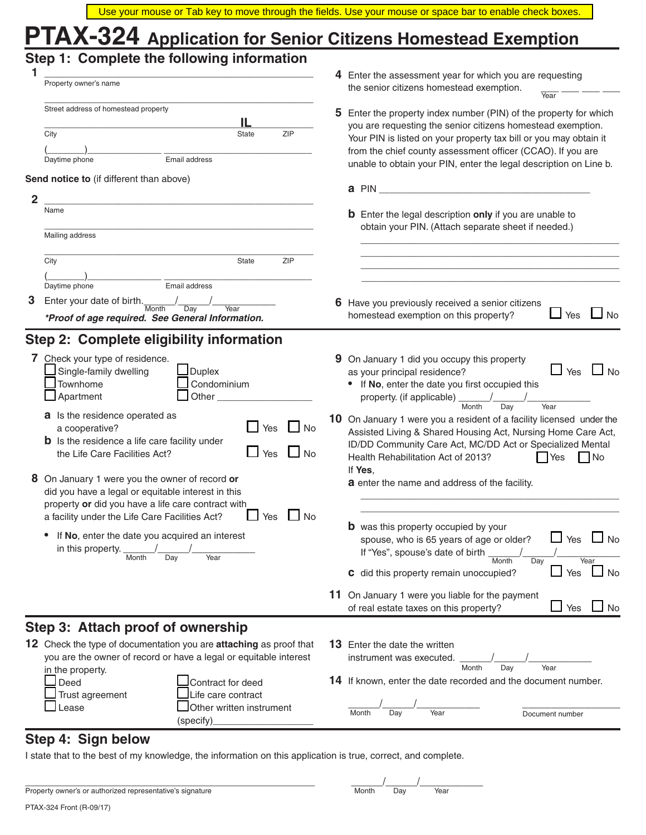|                                                                                                                                                                                                                                  | Use your mouse or Tab key to move through the fields. Use your mouse or space bar to enable check boxes.                                                                                                                                                                                           |
|----------------------------------------------------------------------------------------------------------------------------------------------------------------------------------------------------------------------------------|----------------------------------------------------------------------------------------------------------------------------------------------------------------------------------------------------------------------------------------------------------------------------------------------------|
| PTAX-324 Application for Senior Citizens Homestead Exemption                                                                                                                                                                     |                                                                                                                                                                                                                                                                                                    |
| Step 1: Complete the following information                                                                                                                                                                                       | 4 Enter the assessment year for which you are requesting                                                                                                                                                                                                                                           |
| Property owner's name                                                                                                                                                                                                            | the senior citizens homestead exemption.<br>Year                                                                                                                                                                                                                                                   |
| Street address of homestead property<br>IL<br>ZIP                                                                                                                                                                                | 5 Enter the property index number (PIN) of the property for which<br>you are requesting the senior citizens homestead exemption.                                                                                                                                                                   |
| City<br>State<br>Email address<br>Daytime phone                                                                                                                                                                                  | Your PIN is listed on your property tax bill or you may obtain it<br>from the chief county assessment officer (CCAO). If you are<br>unable to obtain your PIN, enter the legal description on Line b.                                                                                              |
| Send notice to (if different than above)                                                                                                                                                                                         |                                                                                                                                                                                                                                                                                                    |
| $\overline{2}$                                                                                                                                                                                                                   | a PIN and the contract of the contract of the contract of the contract of the contract of the contract of the contract of the contract of the contract of the contract of the contract of the contract of the contract of the                                                                      |
| Name                                                                                                                                                                                                                             | <b>b</b> Enter the legal description only if you are unable to<br>obtain your PIN. (Attach separate sheet if needed.)                                                                                                                                                                              |
| Mailing address                                                                                                                                                                                                                  |                                                                                                                                                                                                                                                                                                    |
| ZIP<br>City<br>State                                                                                                                                                                                                             |                                                                                                                                                                                                                                                                                                    |
| Email address<br>Daytime phone                                                                                                                                                                                                   |                                                                                                                                                                                                                                                                                                    |
| 3<br>Enter your date of birth.<br>Month<br>Day<br>Year<br>*Proof of age required. See General Information.                                                                                                                       | 6 Have you previously received a senior citizens<br>Yes<br><b>No</b><br>homestead exemption on this property?                                                                                                                                                                                      |
| Step 2: Complete eligibility information                                                                                                                                                                                         |                                                                                                                                                                                                                                                                                                    |
| 7 Check your type of residence.                                                                                                                                                                                                  | 9 On January 1 did you occupy this property                                                                                                                                                                                                                                                        |
| Single-family dwelling<br><b>Duplex</b><br>Townhome<br>Condominium<br>Apartment<br>Other $\_\_$                                                                                                                                  | $\Box$ Yes $\Box$ No<br>as your principal residence?<br>If No, enter the date you first occupied this<br>property. (if applicable)                                                                                                                                                                 |
| a Is the residence operated as<br>Yes<br>a cooperative?<br><b>No</b><br><b>b</b> Is the residence a life care facility under<br>the Life Care Facilities Act?<br>Yes<br><b>No</b>                                                | Month<br>Year<br>Day<br>10 On January 1 were you a resident of a facility licensed under the<br>Assisted Living & Shared Housing Act, Nursing Home Care Act,<br>ID/DD Community Care Act, MC/DD Act or Specialized Mental<br>Health Rehabilitation Act of 2013?<br><b>Nes</b><br>$\blacksquare$ No |
| 8 On January 1 were you the owner of record or<br>did you have a legal or equitable interest in this<br>property or did you have a life care contract with<br>$\Box$ No<br>a facility under the Life Care Facilities Act?<br>Yes | If Yes,<br>a enter the name and address of the facility.                                                                                                                                                                                                                                           |
| If No, enter the date you acquired an interest<br>in this property. $\frac{1}{\text{Month}}$<br>Day<br>Year                                                                                                                      | <b>b</b> was this property occupied by your<br>$\sqcup$ Yes<br>$\Box$ No<br>spouse, who is 65 years of age or older?<br>If "Yes", spouse's date of birth<br>Year<br>Month<br>Day                                                                                                                   |
|                                                                                                                                                                                                                                  | $\sqcup$ Yes<br>$\Box$ No<br>c did this property remain unoccupied?                                                                                                                                                                                                                                |
|                                                                                                                                                                                                                                  | 11 On January 1 were you liable for the payment<br>$\Box$ Yes $\Box$ No<br>of real estate taxes on this property?                                                                                                                                                                                  |
| Step 3: Attach proof of ownership                                                                                                                                                                                                |                                                                                                                                                                                                                                                                                                    |
| 12 Check the type of documentation you are attaching as proof that<br>you are the owner of record or have a legal or equitable interest                                                                                          | <b>13</b> Enter the date the written<br>instrument was executed.                                                                                                                                                                                                                                   |
| in the property.<br>Contract for deed<br>Deed                                                                                                                                                                                    | Month<br>Day<br>Year<br>14 If known, enter the date recorded and the document number.                                                                                                                                                                                                              |
| Life care contract<br>Trust agreement<br>Other written instrument<br>Lease<br>(specify)                                                                                                                                          | Month<br>Year<br>Day<br>Document number                                                                                                                                                                                                                                                            |

# **Step 4: Sign below**

I state that to the best of my knowledge, the information on this application is true, correct, and complete.

| Property owner's or authorized representative's signature |  |
|-----------------------------------------------------------|--|
|-----------------------------------------------------------|--|

| Property<br>owner<br>ш<br>onatur<br>. | Month | Dav | Year |  |
|---------------------------------------|-------|-----|------|--|